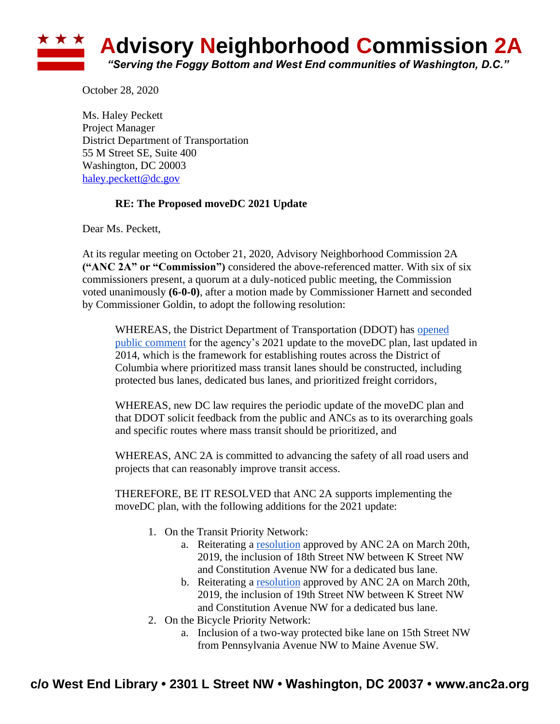

October 28, 2020

Ms. Haley Peckett Project Manager District Department of Transportation 55 M Street SE, Suite 400 Washington, DC 20003 [haley.peckett@dc.gov](mailto:haley.peckett@dc.gov)

## **RE: The Proposed moveDC 2021 Update**

Dear Ms. Peckett,

At its regular meeting on October 21, 2020, Advisory Neighborhood Commission 2A **("ANC 2A" or "Commission")** considered the above-referenced matter. With six of six commissioners present, a quorum at a duly-noticed public meeting, the Commission voted unanimously **(6-0-0)**, after a motion made by Commissioner Harnett and seconded by Commissioner Goldin, to adopt the following resolution:

WHEREAS, the District Department of Transportation (DDOT) has opened [public comment](https://movedc-dcgis.hub.arcgis.com/) for the agency's 2021 update to the moveDC plan, last updated in 2014, which is the framework for establishing routes across the District of Columbia where prioritized mass transit lanes should be constructed, including protected bus lanes, dedicated bus lanes, and prioritized freight corridors,

WHEREAS, new DC law requires the periodic update of the moveDC plan and that DDOT solicit feedback from the public and ANCs as to its overarching goals and specific routes where mass transit should be prioritized, and

WHEREAS, ANC 2A is committed to advancing the safety of all road users and projects that can reasonably improve transit access.

THEREFORE, BE IT RESOLVED that ANC 2A supports implementing the moveDC plan, with the following additions for the 2021 update:

- 1. On the Transit Priority Network:
	- a. Reiterating a [resolution](https://bd464bcc-f588-48fb-8882-8d70c4a297c7.filesusr.com/ugd/554760_02a45624df544168894c1aca1c416d60.pdf) approved by ANC 2A on March 20th, 2019, the inclusion of 18th Street NW between K Street NW and Constitution Avenue NW for a dedicated bus lane.
	- b. Reiterating a [resolution](https://bd464bcc-f588-48fb-8882-8d70c4a297c7.filesusr.com/ugd/554760_02a45624df544168894c1aca1c416d60.pdf) approved by ANC 2A on March 20th, 2019, the inclusion of 19th Street NW between K Street NW and Constitution Avenue NW for a dedicated bus lane.
- 2. On the Bicycle Priority Network:
	- a. Inclusion of a two-way protected bike lane on 15th Street NW from Pennsylvania Avenue NW to Maine Avenue SW.